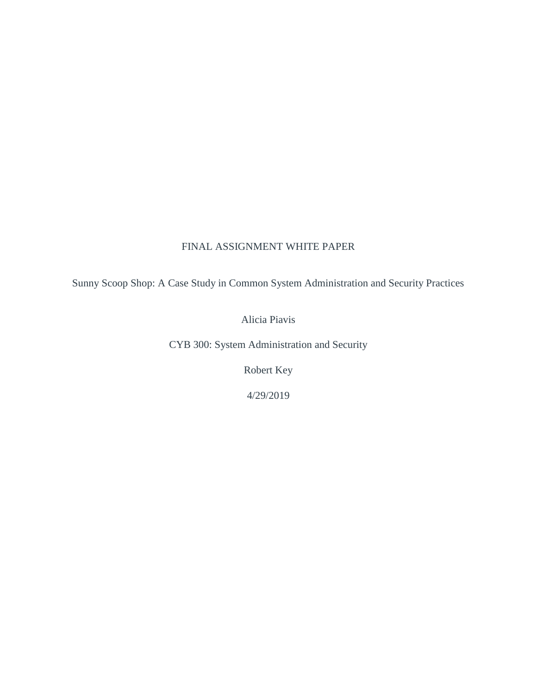# FINAL ASSIGNMENT WHITE PAPER

Sunny Scoop Shop: A Case Study in Common System Administration and Security Practices

Alicia Piavis

CYB 300: System Administration and Security

Robert Key

4/29/2019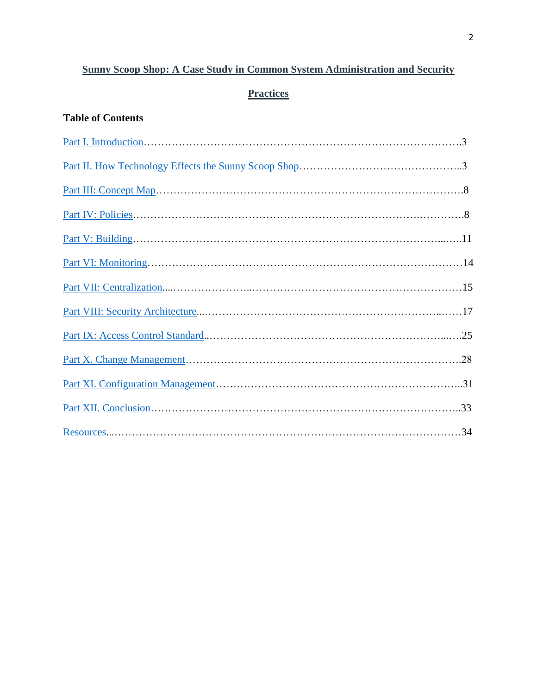# **Sunny Scoop Shop: A Case Study in Common System Administration and Security**

# **Practices**

# **Table of Contents**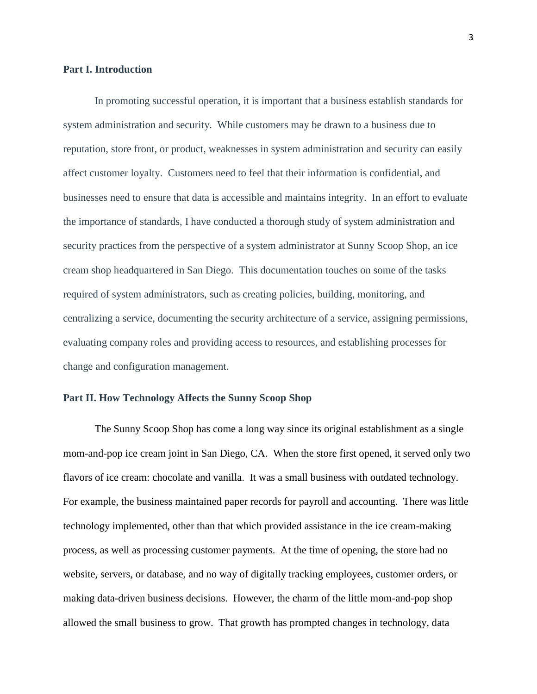#### <span id="page-2-0"></span>**Part I. Introduction**

In promoting successful operation, it is important that a business establish standards for system administration and security. While customers may be drawn to a business due to reputation, store front, or product, weaknesses in system administration and security can easily affect customer loyalty. Customers need to feel that their information is confidential, and businesses need to ensure that data is accessible and maintains integrity. In an effort to evaluate the importance of standards, I have conducted a thorough study of system administration and security practices from the perspective of a system administrator at Sunny Scoop Shop, an ice cream shop headquartered in San Diego. This documentation touches on some of the tasks required of system administrators, such as creating policies, building, monitoring, and centralizing a service, documenting the security architecture of a service, assigning permissions, evaluating company roles and providing access to resources, and establishing processes for change and configuration management.

## <span id="page-2-1"></span>**Part II. How Technology Affects the Sunny Scoop Shop**

The Sunny Scoop Shop has come a long way since its original establishment as a single mom-and-pop ice cream joint in San Diego, CA. When the store first opened, it served only two flavors of ice cream: chocolate and vanilla. It was a small business with outdated technology. For example, the business maintained paper records for payroll and accounting. There was little technology implemented, other than that which provided assistance in the ice cream-making process, as well as processing customer payments. At the time of opening, the store had no website, servers, or database, and no way of digitally tracking employees, customer orders, or making data-driven business decisions. However, the charm of the little mom-and-pop shop allowed the small business to grow. That growth has prompted changes in technology, data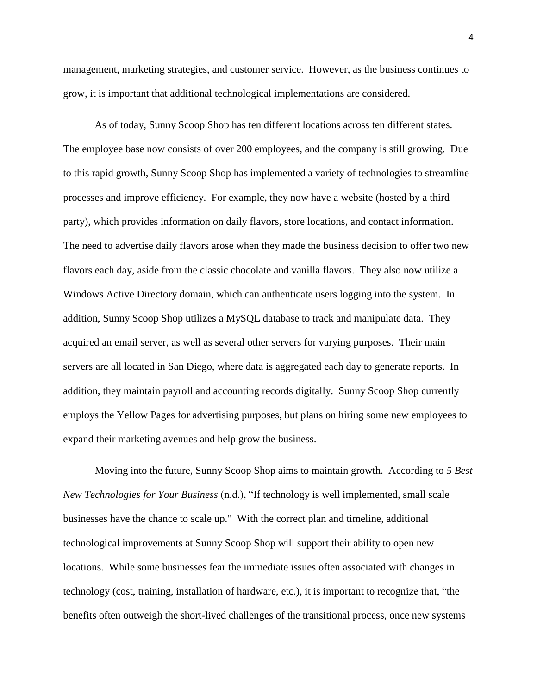management, marketing strategies, and customer service. However, as the business continues to grow, it is important that additional technological implementations are considered.

As of today, Sunny Scoop Shop has ten different locations across ten different states. The employee base now consists of over 200 employees, and the company is still growing. Due to this rapid growth, Sunny Scoop Shop has implemented a variety of technologies to streamline processes and improve efficiency. For example, they now have a website (hosted by a third party), which provides information on daily flavors, store locations, and contact information. The need to advertise daily flavors arose when they made the business decision to offer two new flavors each day, aside from the classic chocolate and vanilla flavors. They also now utilize a Windows Active Directory domain, which can authenticate users logging into the system. In addition, Sunny Scoop Shop utilizes a MySQL database to track and manipulate data. They acquired an email server, as well as several other servers for varying purposes. Their main servers are all located in San Diego, where data is aggregated each day to generate reports. In addition, they maintain payroll and accounting records digitally. Sunny Scoop Shop currently employs the Yellow Pages for advertising purposes, but plans on hiring some new employees to expand their marketing avenues and help grow the business.

Moving into the future, Sunny Scoop Shop aims to maintain growth. According to *5 Best New Technologies for Your Business* (n.d.), "If technology is well implemented, small scale businesses have the chance to scale up." With the correct plan and timeline, additional technological improvements at Sunny Scoop Shop will support their ability to open new locations. While some businesses fear the immediate issues often associated with changes in technology (cost, training, installation of hardware, etc.), it is important to recognize that, "the benefits often outweigh the short-lived challenges of the transitional process, once new systems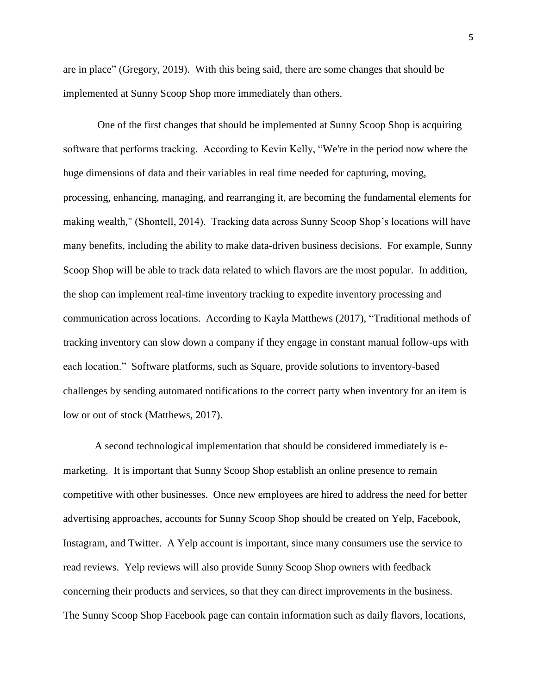are in place" (Gregory, 2019). With this being said, there are some changes that should be implemented at Sunny Scoop Shop more immediately than others.

One of the first changes that should be implemented at Sunny Scoop Shop is acquiring software that performs tracking. According to Kevin Kelly, "We're in the period now where the huge dimensions of data and their variables in real time needed for capturing, moving, processing, enhancing, managing, and rearranging it, are becoming the fundamental elements for making wealth," (Shontell, 2014). Tracking data across Sunny Scoop Shop's locations will have many benefits, including the ability to make data-driven business decisions. For example, Sunny Scoop Shop will be able to track data related to which flavors are the most popular. In addition, the shop can implement real-time inventory tracking to expedite inventory processing and communication across locations. According to Kayla Matthews (2017), "Traditional methods of tracking inventory can slow down a company if they engage in constant manual follow-ups with each location." Software platforms, such as Square, provide solutions to inventory-based challenges by sending automated notifications to the correct party when inventory for an item is low or out of stock (Matthews, 2017).

A second technological implementation that should be considered immediately is emarketing. It is important that Sunny Scoop Shop establish an online presence to remain competitive with other businesses. Once new employees are hired to address the need for better advertising approaches, accounts for Sunny Scoop Shop should be created on Yelp, Facebook, Instagram, and Twitter. A Yelp account is important, since many consumers use the service to read reviews. Yelp reviews will also provide Sunny Scoop Shop owners with feedback concerning their products and services, so that they can direct improvements in the business. The Sunny Scoop Shop Facebook page can contain information such as daily flavors, locations,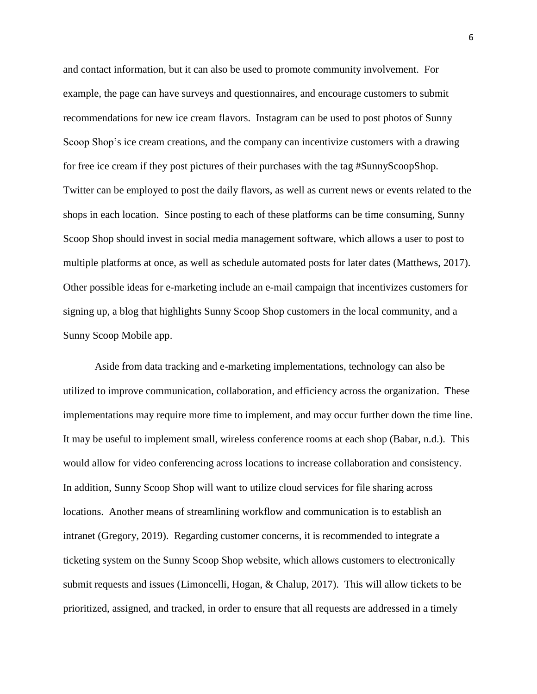and contact information, but it can also be used to promote community involvement. For example, the page can have surveys and questionnaires, and encourage customers to submit recommendations for new ice cream flavors. Instagram can be used to post photos of Sunny Scoop Shop's ice cream creations, and the company can incentivize customers with a drawing for free ice cream if they post pictures of their purchases with the tag #SunnyScoopShop. Twitter can be employed to post the daily flavors, as well as current news or events related to the shops in each location. Since posting to each of these platforms can be time consuming, Sunny Scoop Shop should invest in social media management software, which allows a user to post to multiple platforms at once, as well as schedule automated posts for later dates (Matthews, 2017). Other possible ideas for e-marketing include an e-mail campaign that incentivizes customers for signing up, a blog that highlights Sunny Scoop Shop customers in the local community, and a Sunny Scoop Mobile app.

Aside from data tracking and e-marketing implementations, technology can also be utilized to improve communication, collaboration, and efficiency across the organization. These implementations may require more time to implement, and may occur further down the time line. It may be useful to implement small, wireless conference rooms at each shop (Babar, n.d.). This would allow for video conferencing across locations to increase collaboration and consistency. In addition, Sunny Scoop Shop will want to utilize cloud services for file sharing across locations. Another means of streamlining workflow and communication is to establish an intranet (Gregory, 2019). Regarding customer concerns, it is recommended to integrate a ticketing system on the Sunny Scoop Shop website, which allows customers to electronically submit requests and issues (Limoncelli, Hogan, & Chalup, 2017). This will allow tickets to be prioritized, assigned, and tracked, in order to ensure that all requests are addressed in a timely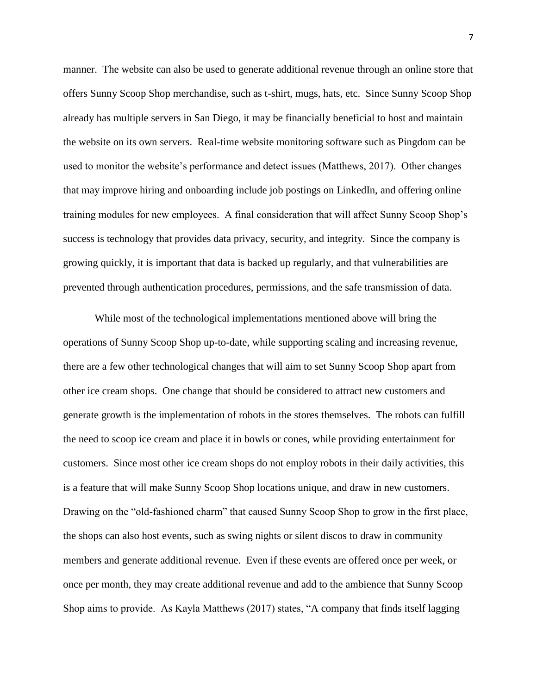manner. The website can also be used to generate additional revenue through an online store that offers Sunny Scoop Shop merchandise, such as t-shirt, mugs, hats, etc. Since Sunny Scoop Shop already has multiple servers in San Diego, it may be financially beneficial to host and maintain the website on its own servers. Real-time website monitoring software such as Pingdom can be used to monitor the website's performance and detect issues (Matthews, 2017). Other changes that may improve hiring and onboarding include job postings on LinkedIn, and offering online training modules for new employees. A final consideration that will affect Sunny Scoop Shop's success is technology that provides data privacy, security, and integrity. Since the company is growing quickly, it is important that data is backed up regularly, and that vulnerabilities are prevented through authentication procedures, permissions, and the safe transmission of data.

While most of the technological implementations mentioned above will bring the operations of Sunny Scoop Shop up-to-date, while supporting scaling and increasing revenue, there are a few other technological changes that will aim to set Sunny Scoop Shop apart from other ice cream shops. One change that should be considered to attract new customers and generate growth is the implementation of robots in the stores themselves. The robots can fulfill the need to scoop ice cream and place it in bowls or cones, while providing entertainment for customers. Since most other ice cream shops do not employ robots in their daily activities, this is a feature that will make Sunny Scoop Shop locations unique, and draw in new customers. Drawing on the "old-fashioned charm" that caused Sunny Scoop Shop to grow in the first place, the shops can also host events, such as swing nights or silent discos to draw in community members and generate additional revenue. Even if these events are offered once per week, or once per month, they may create additional revenue and add to the ambience that Sunny Scoop Shop aims to provide. As Kayla Matthews (2017) states, "A company that finds itself lagging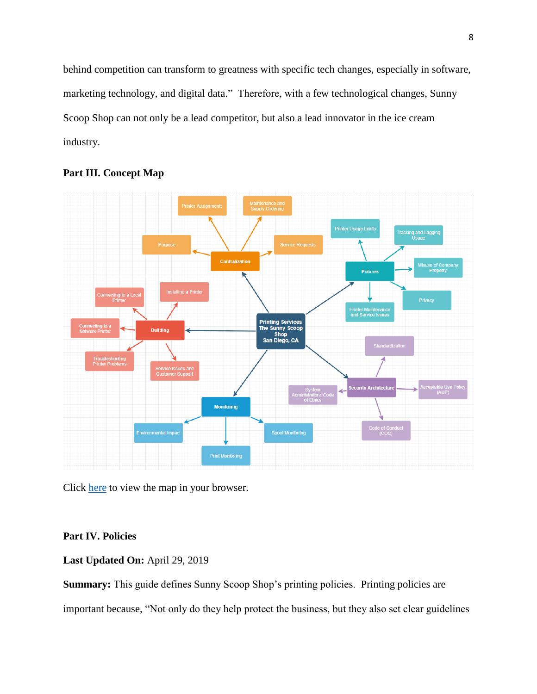behind competition can transform to greatness with specific tech changes, especially in software, marketing technology, and digital data." Therefore, with a few technological changes, Sunny Scoop Shop can not only be a lead competitor, but also a lead innovator in the ice cream industry.



## <span id="page-7-0"></span>**Part III. Concept Map**

Click [here](https://drive.google.com/file/d/18v3YX2Ju-tZZiGxEuC2ViHMQmGyQ1iCQ/view?usp=sharing) to view the map in your browser.

## <span id="page-7-1"></span>**Part IV. Policies**

## **Last Updated On:** April 29, 2019

**Summary:** This guide defines Sunny Scoop Shop's printing policies. Printing policies are important because, "Not only do they help protect the business, but they also set clear guidelines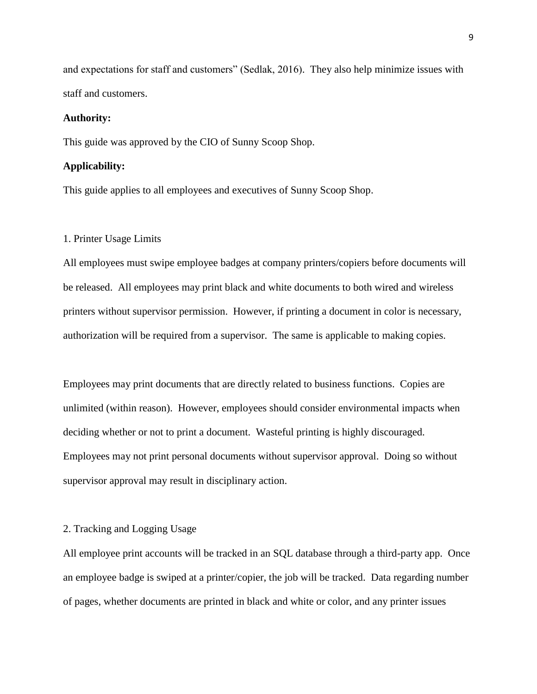and expectations for staff and customers" (Sedlak, 2016). They also help minimize issues with staff and customers.

#### **Authority:**

This guide was approved by the CIO of Sunny Scoop Shop.

#### **Applicability:**

This guide applies to all employees and executives of Sunny Scoop Shop.

#### 1. Printer Usage Limits

All employees must swipe employee badges at company printers/copiers before documents will be released. All employees may print black and white documents to both wired and wireless printers without supervisor permission. However, if printing a document in color is necessary, authorization will be required from a supervisor. The same is applicable to making copies.

Employees may print documents that are directly related to business functions. Copies are unlimited (within reason). However, employees should consider environmental impacts when deciding whether or not to print a document. Wasteful printing is highly discouraged. Employees may not print personal documents without supervisor approval. Doing so without supervisor approval may result in disciplinary action.

#### 2. Tracking and Logging Usage

All employee print accounts will be tracked in an SQL database through a third-party app. Once an employee badge is swiped at a printer/copier, the job will be tracked. Data regarding number of pages, whether documents are printed in black and white or color, and any printer issues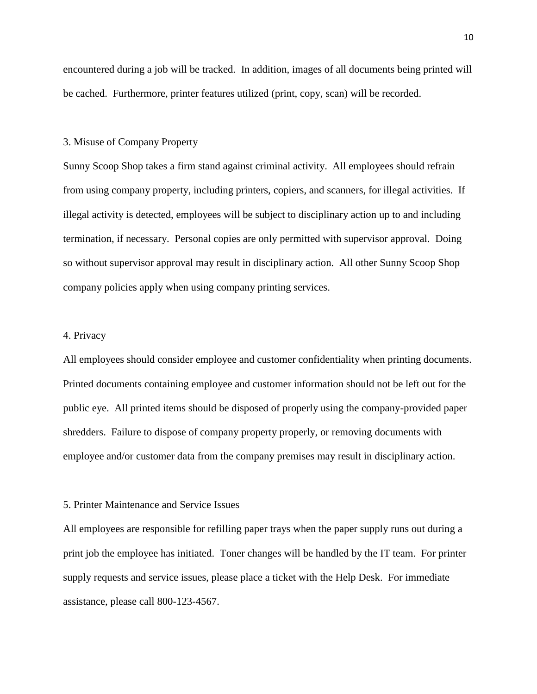encountered during a job will be tracked. In addition, images of all documents being printed will be cached. Furthermore, printer features utilized (print, copy, scan) will be recorded.

#### 3. Misuse of Company Property

Sunny Scoop Shop takes a firm stand against criminal activity. All employees should refrain from using company property, including printers, copiers, and scanners, for illegal activities. If illegal activity is detected, employees will be subject to disciplinary action up to and including termination, if necessary. Personal copies are only permitted with supervisor approval. Doing so without supervisor approval may result in disciplinary action. All other Sunny Scoop Shop company policies apply when using company printing services.

## 4. Privacy

All employees should consider employee and customer confidentiality when printing documents. Printed documents containing employee and customer information should not be left out for the public eye. All printed items should be disposed of properly using the company-provided paper shredders. Failure to dispose of company property properly, or removing documents with employee and/or customer data from the company premises may result in disciplinary action.

#### 5. Printer Maintenance and Service Issues

All employees are responsible for refilling paper trays when the paper supply runs out during a print job the employee has initiated. Toner changes will be handled by the IT team. For printer supply requests and service issues, please place a ticket with the Help Desk. For immediate assistance, please call 800-123-4567.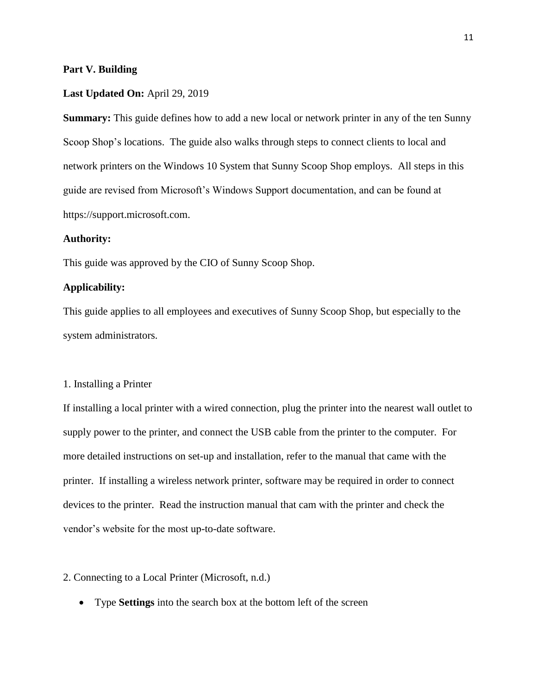#### <span id="page-10-0"></span>**Part V. Building**

#### **Last Updated On:** April 29, 2019

**Summary:** This guide defines how to add a new local or network printer in any of the ten Sunny Scoop Shop's locations. The guide also walks through steps to connect clients to local and network printers on the Windows 10 System that Sunny Scoop Shop employs. All steps in this guide are revised from Microsoft's Windows Support documentation, and can be found at https://support.microsoft.com.

### **Authority:**

This guide was approved by the CIO of Sunny Scoop Shop.

### **Applicability:**

This guide applies to all employees and executives of Sunny Scoop Shop, but especially to the system administrators.

#### 1. Installing a Printer

If installing a local printer with a wired connection, plug the printer into the nearest wall outlet to supply power to the printer, and connect the USB cable from the printer to the computer. For more detailed instructions on set-up and installation, refer to the manual that came with the printer. If installing a wireless network printer, software may be required in order to connect devices to the printer. Read the instruction manual that cam with the printer and check the vendor's website for the most up-to-date software.

## 2. Connecting to a Local Printer (Microsoft, n.d.)

• Type **Settings** into the search box at the bottom left of the screen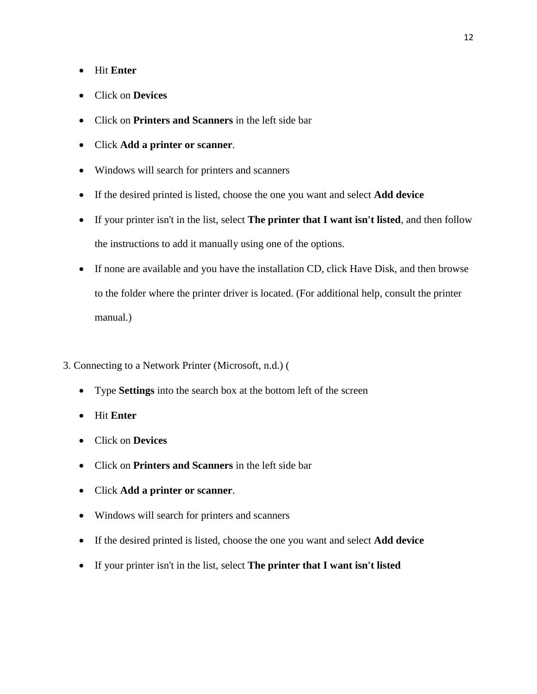- Hit **Enter**
- Click on **Devices**
- Click on **Printers and Scanners** in the left side bar
- Click **Add a printer or scanner**.
- Windows will search for printers and scanners
- If the desired printed is listed, choose the one you want and select **Add device**
- If your printer isn't in the list, select **The printer that I want isn't listed**, and then follow the instructions to add it manually using one of the options.
- If none are available and you have the installation CD, click Have Disk, and then browse to the folder where the printer driver is located. (For additional help, consult the printer manual.)
- 3. Connecting to a Network Printer (Microsoft, n.d.) (
	- Type **Settings** into the search box at the bottom left of the screen
	- Hit **Enter**
	- Click on **Devices**
	- Click on **Printers and Scanners** in the left side bar
	- Click **Add a printer or scanner**.
	- Windows will search for printers and scanners
	- If the desired printed is listed, choose the one you want and select **Add device**
	- If your printer isn't in the list, select **The printer that I want isn't listed**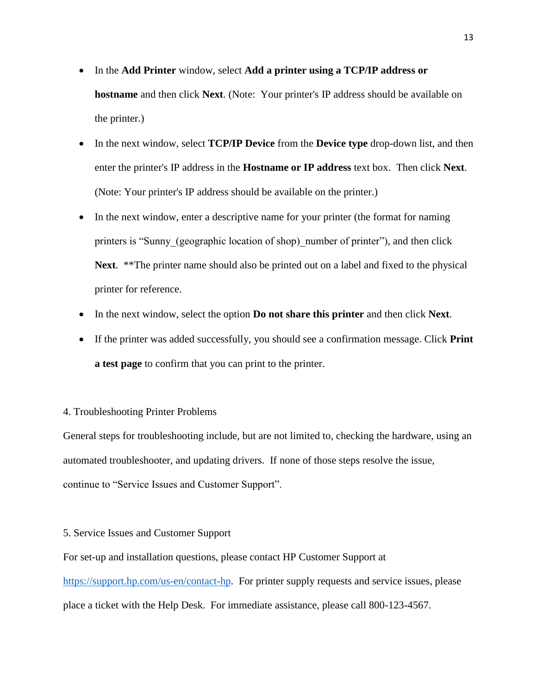- In the **Add Printer** window, select **Add a printer using a TCP/IP address or hostname** and then click **Next**. (Note: Your printer's IP address should be available on the printer.)
- In the next window, select **TCP/IP Device** from the **Device type** drop-down list, and then enter the printer's IP address in the **Hostname or IP address** text box. Then click **Next**. (Note: Your printer's IP address should be available on the printer.)
- In the next window, enter a descriptive name for your printer (the format for naming printers is "Sunny (geographic location of shop) number of printer"), and then click **Next**. \*\*The printer name should also be printed out on a label and fixed to the physical printer for reference.
- In the next window, select the option **Do not share this printer** and then click **Next**.
- If the printer was added successfully, you should see a confirmation message. Click **Print a test page** to confirm that you can print to the printer.

## 4. Troubleshooting Printer Problems

General steps for troubleshooting include, but are not limited to, checking the hardware, using an automated troubleshooter, and updating drivers. If none of those steps resolve the issue, continue to "Service Issues and Customer Support".

### 5. Service Issues and Customer Support

For set-up and installation questions, please contact HP Customer Support at [https://support.hp.com/us-en/contact-hp.](https://support.hp.com/us-en/contact-hp) For printer supply requests and service issues, please place a ticket with the Help Desk. For immediate assistance, please call 800-123-4567.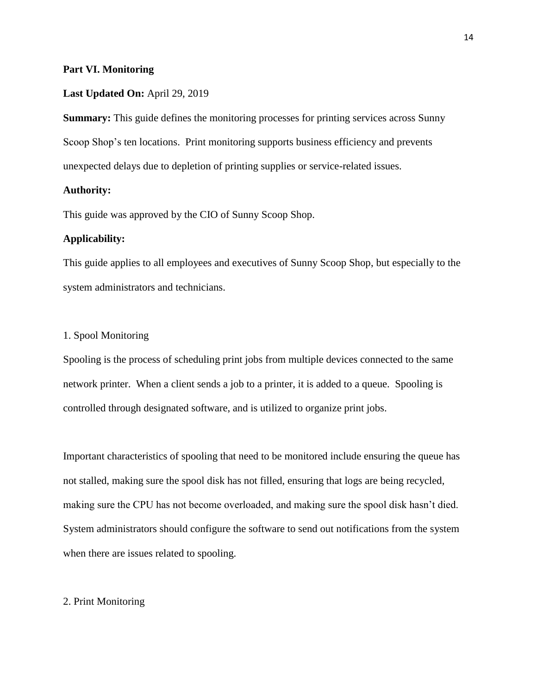#### <span id="page-13-0"></span>**Part VI. Monitoring**

#### **Last Updated On:** April 29, 2019

**Summary:** This guide defines the monitoring processes for printing services across Sunny Scoop Shop's ten locations. Print monitoring supports business efficiency and prevents unexpected delays due to depletion of printing supplies or service-related issues.

## **Authority:**

This guide was approved by the CIO of Sunny Scoop Shop.

#### **Applicability:**

This guide applies to all employees and executives of Sunny Scoop Shop, but especially to the system administrators and technicians.

#### 1. Spool Monitoring

Spooling is the process of scheduling print jobs from multiple devices connected to the same network printer. When a client sends a job to a printer, it is added to a queue. Spooling is controlled through designated software, and is utilized to organize print jobs.

Important characteristics of spooling that need to be monitored include ensuring the queue has not stalled, making sure the spool disk has not filled, ensuring that logs are being recycled, making sure the CPU has not become overloaded, and making sure the spool disk hasn't died. System administrators should configure the software to send out notifications from the system when there are issues related to spooling.

## 2. Print Monitoring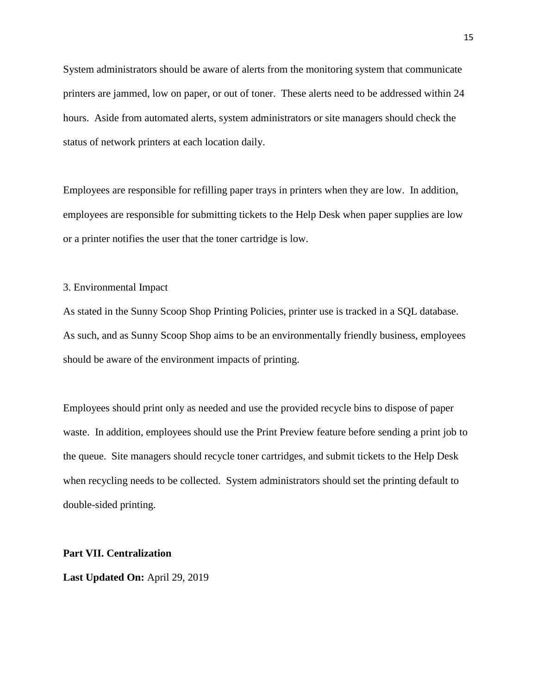System administrators should be aware of alerts from the monitoring system that communicate printers are jammed, low on paper, or out of toner. These alerts need to be addressed within 24 hours. Aside from automated alerts, system administrators or site managers should check the status of network printers at each location daily.

Employees are responsible for refilling paper trays in printers when they are low. In addition, employees are responsible for submitting tickets to the Help Desk when paper supplies are low or a printer notifies the user that the toner cartridge is low.

#### 3. Environmental Impact

As stated in the Sunny Scoop Shop Printing Policies, printer use is tracked in a SQL database. As such, and as Sunny Scoop Shop aims to be an environmentally friendly business, employees should be aware of the environment impacts of printing.

Employees should print only as needed and use the provided recycle bins to dispose of paper waste. In addition, employees should use the Print Preview feature before sending a print job to the queue. Site managers should recycle toner cartridges, and submit tickets to the Help Desk when recycling needs to be collected. System administrators should set the printing default to double-sided printing.

#### <span id="page-14-0"></span>**Part VII. Centralization**

**Last Updated On:** April 29, 2019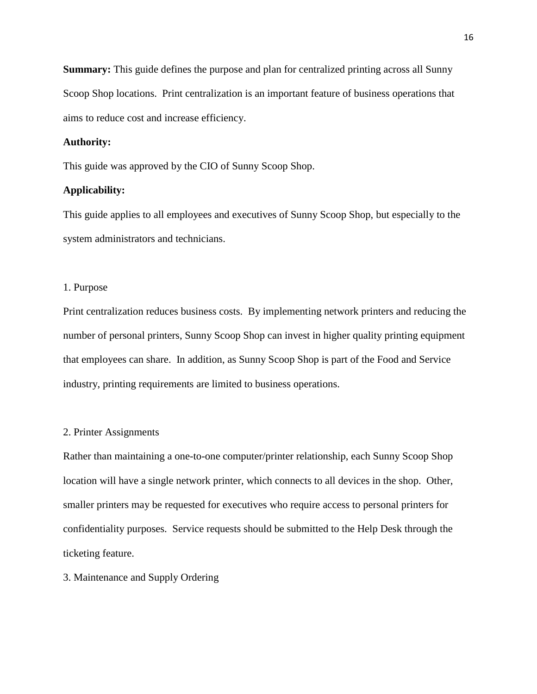**Summary:** This guide defines the purpose and plan for centralized printing across all Sunny Scoop Shop locations. Print centralization is an important feature of business operations that aims to reduce cost and increase efficiency.

## **Authority:**

This guide was approved by the CIO of Sunny Scoop Shop.

## **Applicability:**

This guide applies to all employees and executives of Sunny Scoop Shop, but especially to the system administrators and technicians.

#### 1. Purpose

Print centralization reduces business costs. By implementing network printers and reducing the number of personal printers, Sunny Scoop Shop can invest in higher quality printing equipment that employees can share. In addition, as Sunny Scoop Shop is part of the Food and Service industry, printing requirements are limited to business operations.

#### 2. Printer Assignments

Rather than maintaining a one-to-one computer/printer relationship, each Sunny Scoop Shop location will have a single network printer, which connects to all devices in the shop. Other, smaller printers may be requested for executives who require access to personal printers for confidentiality purposes. Service requests should be submitted to the Help Desk through the ticketing feature.

### 3. Maintenance and Supply Ordering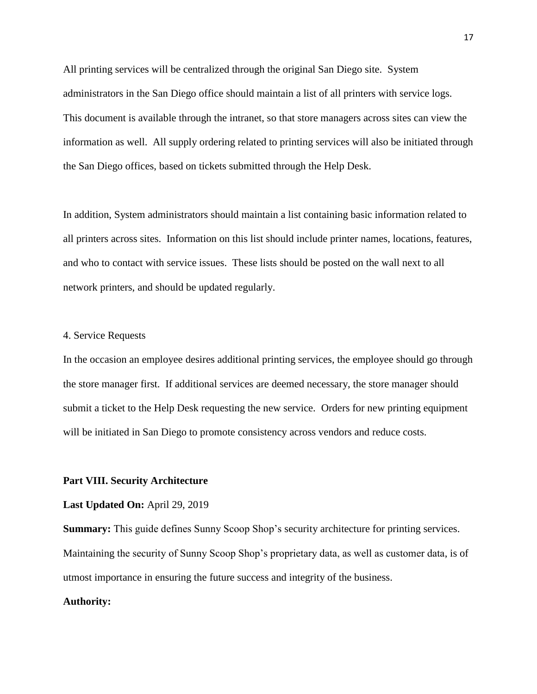All printing services will be centralized through the original San Diego site. System administrators in the San Diego office should maintain a list of all printers with service logs. This document is available through the intranet, so that store managers across sites can view the information as well. All supply ordering related to printing services will also be initiated through the San Diego offices, based on tickets submitted through the Help Desk.

In addition, System administrators should maintain a list containing basic information related to all printers across sites. Information on this list should include printer names, locations, features, and who to contact with service issues. These lists should be posted on the wall next to all network printers, and should be updated regularly.

#### 4. Service Requests

In the occasion an employee desires additional printing services, the employee should go through the store manager first. If additional services are deemed necessary, the store manager should submit a ticket to the Help Desk requesting the new service. Orders for new printing equipment will be initiated in San Diego to promote consistency across vendors and reduce costs.

#### <span id="page-16-0"></span>**Part VIII. Security Architecture**

#### **Last Updated On:** April 29, 2019

**Summary:** This guide defines Sunny Scoop Shop's security architecture for printing services. Maintaining the security of Sunny Scoop Shop's proprietary data, as well as customer data, is of utmost importance in ensuring the future success and integrity of the business.

#### **Authority:**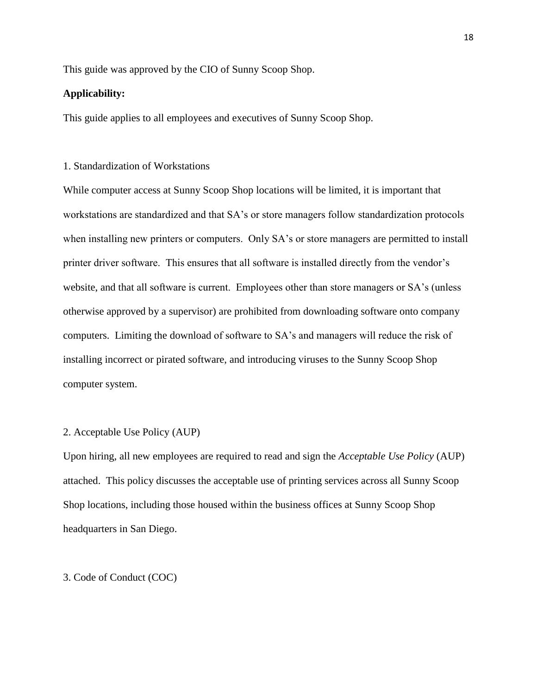This guide was approved by the CIO of Sunny Scoop Shop.

### **Applicability:**

This guide applies to all employees and executives of Sunny Scoop Shop.

#### 1. Standardization of Workstations

While computer access at Sunny Scoop Shop locations will be limited, it is important that workstations are standardized and that SA's or store managers follow standardization protocols when installing new printers or computers. Only SA's or store managers are permitted to install printer driver software. This ensures that all software is installed directly from the vendor's website, and that all software is current. Employees other than store managers or SA's (unless otherwise approved by a supervisor) are prohibited from downloading software onto company computers. Limiting the download of software to SA's and managers will reduce the risk of installing incorrect or pirated software, and introducing viruses to the Sunny Scoop Shop computer system.

#### 2. Acceptable Use Policy (AUP)

Upon hiring, all new employees are required to read and sign the *Acceptable Use Policy* (AUP) attached. This policy discusses the acceptable use of printing services across all Sunny Scoop Shop locations, including those housed within the business offices at Sunny Scoop Shop headquarters in San Diego.

#### 3. Code of Conduct (COC)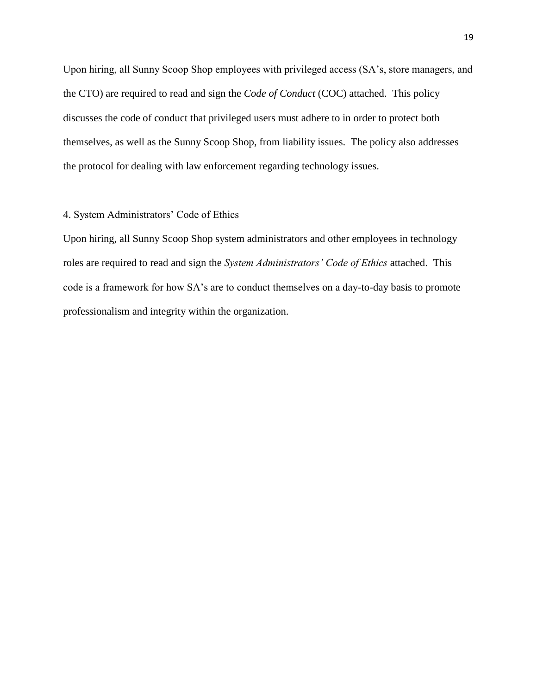Upon hiring, all Sunny Scoop Shop employees with privileged access (SA's, store managers, and the CTO) are required to read and sign the *Code of Conduct* (COC) attached. This policy discusses the code of conduct that privileged users must adhere to in order to protect both themselves, as well as the Sunny Scoop Shop, from liability issues. The policy also addresses the protocol for dealing with law enforcement regarding technology issues.

#### 4. System Administrators' Code of Ethics

Upon hiring, all Sunny Scoop Shop system administrators and other employees in technology roles are required to read and sign the *System Administrators' Code of Ethics* attached. This code is a framework for how SA's are to conduct themselves on a day-to-day basis to promote professionalism and integrity within the organization.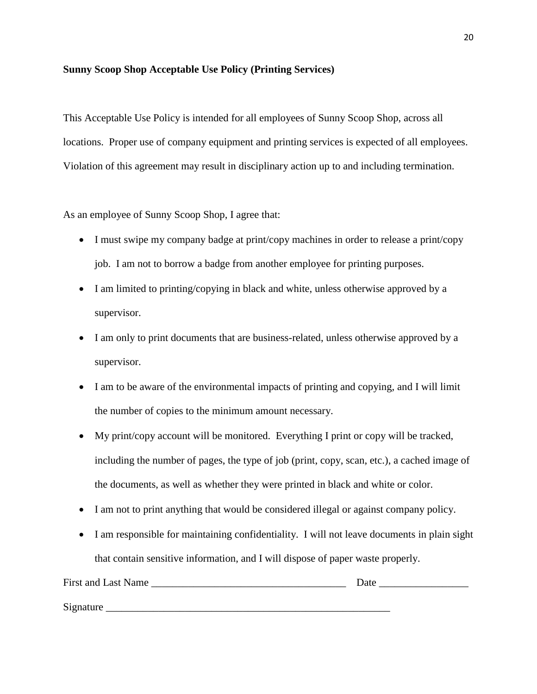## **Sunny Scoop Shop Acceptable Use Policy (Printing Services)**

This Acceptable Use Policy is intended for all employees of Sunny Scoop Shop, across all locations. Proper use of company equipment and printing services is expected of all employees. Violation of this agreement may result in disciplinary action up to and including termination.

As an employee of Sunny Scoop Shop, I agree that:

- I must swipe my company badge at print/copy machines in order to release a print/copy job. I am not to borrow a badge from another employee for printing purposes.
- I am limited to printing/copying in black and white, unless otherwise approved by a supervisor.
- I am only to print documents that are business-related, unless otherwise approved by a supervisor.
- I am to be aware of the environmental impacts of printing and copying, and I will limit the number of copies to the minimum amount necessary.
- My print/copy account will be monitored. Everything I print or copy will be tracked, including the number of pages, the type of job (print, copy, scan, etc.), a cached image of the documents, as well as whether they were printed in black and white or color.
- I am not to print anything that would be considered illegal or against company policy.
- I am responsible for maintaining confidentiality. I will not leave documents in plain sight that contain sensitive information, and I will dispose of paper waste properly.

| <b>First and Last Name</b> | Date |
|----------------------------|------|
|                            |      |
| Signature                  |      |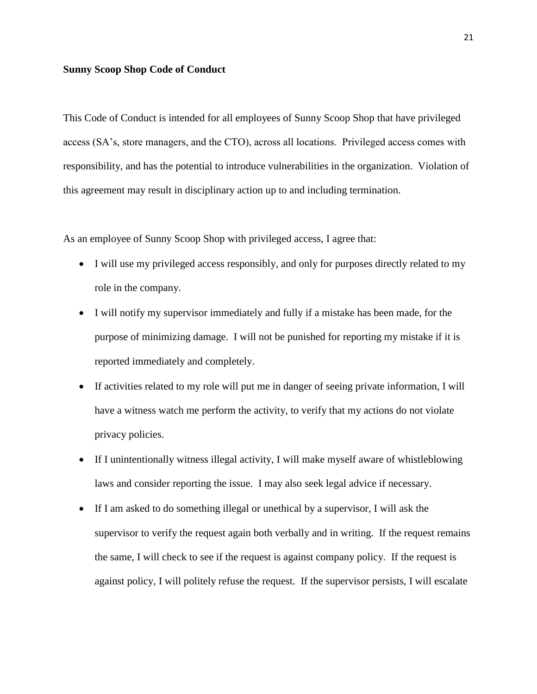#### **Sunny Scoop Shop Code of Conduct**

This Code of Conduct is intended for all employees of Sunny Scoop Shop that have privileged access (SA's, store managers, and the CTO), across all locations. Privileged access comes with responsibility, and has the potential to introduce vulnerabilities in the organization. Violation of this agreement may result in disciplinary action up to and including termination.

As an employee of Sunny Scoop Shop with privileged access, I agree that:

- I will use my privileged access responsibly, and only for purposes directly related to my role in the company.
- I will notify my supervisor immediately and fully if a mistake has been made, for the purpose of minimizing damage. I will not be punished for reporting my mistake if it is reported immediately and completely.
- If activities related to my role will put me in danger of seeing private information, I will have a witness watch me perform the activity, to verify that my actions do not violate privacy policies.
- If I unintentionally witness illegal activity, I will make myself aware of whistleblowing laws and consider reporting the issue. I may also seek legal advice if necessary.
- If I am asked to do something illegal or unethical by a supervisor, I will ask the supervisor to verify the request again both verbally and in writing. If the request remains the same, I will check to see if the request is against company policy. If the request is against policy, I will politely refuse the request. If the supervisor persists, I will escalate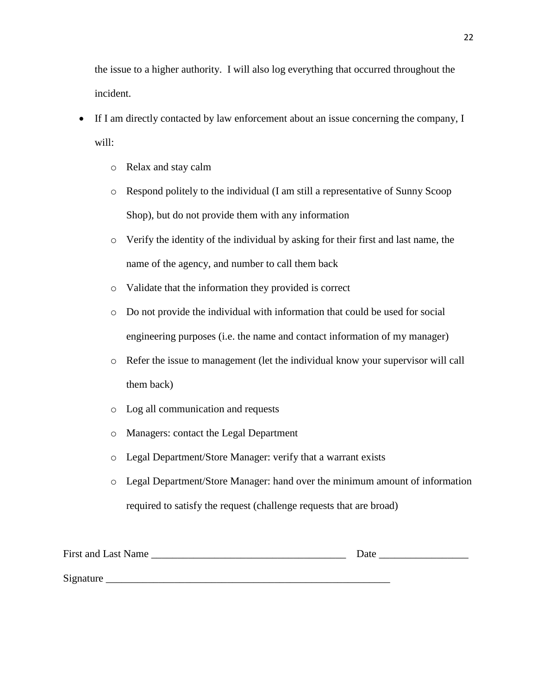the issue to a higher authority. I will also log everything that occurred throughout the incident.

- If I am directly contacted by law enforcement about an issue concerning the company, I will:
	- o Relax and stay calm
	- o Respond politely to the individual (I am still a representative of Sunny Scoop Shop), but do not provide them with any information
	- o Verify the identity of the individual by asking for their first and last name, the name of the agency, and number to call them back
	- o Validate that the information they provided is correct
	- o Do not provide the individual with information that could be used for social engineering purposes (i.e. the name and contact information of my manager)
	- o Refer the issue to management (let the individual know your supervisor will call them back)
	- o Log all communication and requests
	- o Managers: contact the Legal Department
	- o Legal Department/Store Manager: verify that a warrant exists
	- o Legal Department/Store Manager: hand over the minimum amount of information required to satisfy the request (challenge requests that are broad)

| <b>First and Last Name</b> | Date |
|----------------------------|------|
| Signature                  |      |
|                            |      |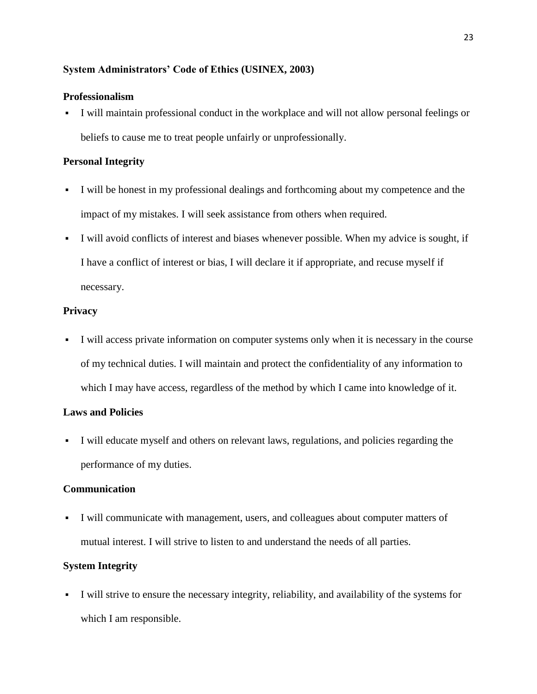## **System Administrators' Code of Ethics (USINEX, 2003)**

## **Professionalism**

▪ I will maintain professional conduct in the workplace and will not allow personal feelings or beliefs to cause me to treat people unfairly or unprofessionally.

## **Personal Integrity**

- I will be honest in my professional dealings and forthcoming about my competence and the impact of my mistakes. I will seek assistance from others when required.
- I will avoid conflicts of interest and biases whenever possible. When my advice is sought, if I have a conflict of interest or bias, I will declare it if appropriate, and recuse myself if necessary.

## **Privacy**

▪ I will access private information on computer systems only when it is necessary in the course of my technical duties. I will maintain and protect the confidentiality of any information to which I may have access, regardless of the method by which I came into knowledge of it.

## **Laws and Policies**

▪ I will educate myself and others on relevant laws, regulations, and policies regarding the performance of my duties.

## **Communication**

▪ I will communicate with management, users, and colleagues about computer matters of mutual interest. I will strive to listen to and understand the needs of all parties.

## **System Integrity**

▪ I will strive to ensure the necessary integrity, reliability, and availability of the systems for which I am responsible.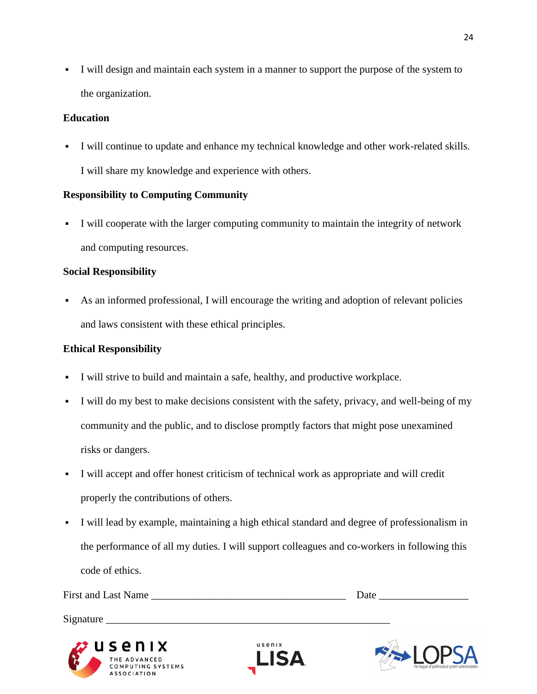▪ I will design and maintain each system in a manner to support the purpose of the system to the organization.

## **Education**

▪ I will continue to update and enhance my technical knowledge and other work-related skills. I will share my knowledge and experience with others.

# **Responsibility to Computing Community**

▪ I will cooperate with the larger computing community to maintain the integrity of network and computing resources.

# **Social Responsibility**

As an informed professional, I will encourage the writing and adoption of relevant policies and laws consistent with these ethical principles.

# **Ethical Responsibility**

**ASSOCIATION** 

- I will strive to build and maintain a safe, healthy, and productive workplace.
- I will do my best to make decisions consistent with the safety, privacy, and well-being of my community and the public, and to disclose promptly factors that might pose unexamined risks or dangers.
- I will accept and offer honest criticism of technical work as appropriate and will credit properly the contributions of others.
- I will lead by example, maintaining a high ethical standard and degree of professionalism in the performance of all my duties. I will support colleagues and co-workers in following this code of ethics.

| First and Last Name                                                 |                       | Date                                                             |
|---------------------------------------------------------------------|-----------------------|------------------------------------------------------------------|
| Signature                                                           |                       |                                                                  |
| $\boldsymbol{w}$ usenix<br>THE ADVANCED<br><b>COMPUTING SYSTEMS</b> | usenix<br><b>LISA</b> | <b>ODC A</b><br>the league of professional system administrators |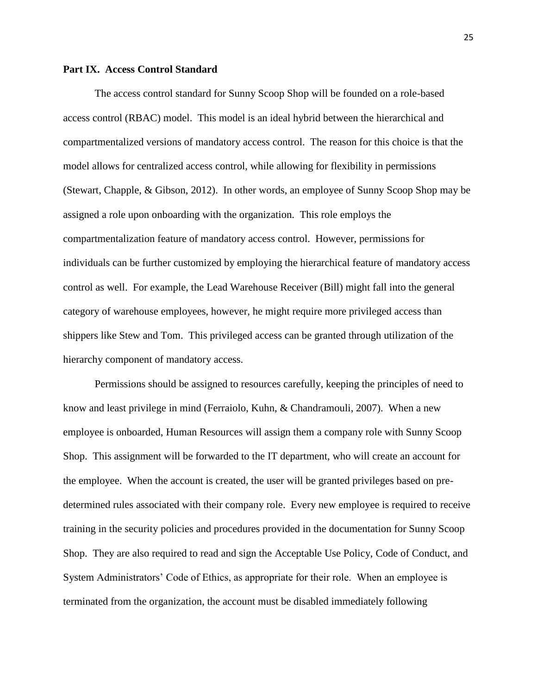### <span id="page-24-0"></span>**Part IX. Access Control Standard**

The access control standard for Sunny Scoop Shop will be founded on a role-based access control (RBAC) model. This model is an ideal hybrid between the hierarchical and compartmentalized versions of mandatory access control. The reason for this choice is that the model allows for centralized access control, while allowing for flexibility in permissions (Stewart, Chapple, & Gibson, 2012). In other words, an employee of Sunny Scoop Shop may be assigned a role upon onboarding with the organization. This role employs the compartmentalization feature of mandatory access control. However, permissions for individuals can be further customized by employing the hierarchical feature of mandatory access control as well. For example, the Lead Warehouse Receiver (Bill) might fall into the general category of warehouse employees, however, he might require more privileged access than shippers like Stew and Tom. This privileged access can be granted through utilization of the hierarchy component of mandatory access.

Permissions should be assigned to resources carefully, keeping the principles of need to know and least privilege in mind (Ferraiolo, Kuhn, & Chandramouli, 2007). When a new employee is onboarded, Human Resources will assign them a company role with Sunny Scoop Shop. This assignment will be forwarded to the IT department, who will create an account for the employee. When the account is created, the user will be granted privileges based on predetermined rules associated with their company role. Every new employee is required to receive training in the security policies and procedures provided in the documentation for Sunny Scoop Shop. They are also required to read and sign the Acceptable Use Policy, Code of Conduct, and System Administrators' Code of Ethics, as appropriate for their role. When an employee is terminated from the organization, the account must be disabled immediately following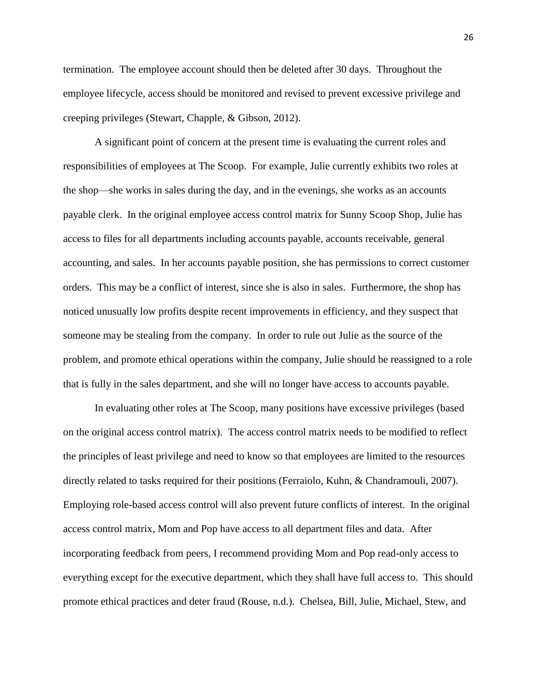termination. The employee account should then be deleted after 30 days. Throughout the employee lifecycle, access should be monitored and revised to prevent excessive privilege and creeping privileges (Stewart, Chapple, & Gibson, 2012).

A significant point of concern at the present time is evaluating the current roles and responsibilities of employees at The Scoop. For example, Julie currently exhibits two roles at the shop—she works in sales during the day, and in the evenings, she works as an accounts payable clerk. In the original employee access control matrix for Sunny Scoop Shop, Julie has access to files for all departments including accounts payable, accounts receivable, general accounting, and sales. In her accounts payable position, she has permissions to correct customer orders. This may be a conflict of interest, since she is also in sales. Furthermore, the shop has noticed unusually low profits despite recent improvements in efficiency, and they suspect that someone may be stealing from the company. In order to rule out Julie as the source of the problem, and promote ethical operations within the company, Julie should be reassigned to a role that is fully in the sales department, and she will no longer have access to accounts payable.

In evaluating other roles at The Scoop, many positions have excessive privileges (based on the original access control matrix). The access control matrix needs to be modified to reflect the principles of least privilege and need to know so that employees are limited to the resources directly related to tasks required for their positions (Ferraiolo, Kuhn, & Chandramouli, 2007). Employing role-based access control will also prevent future conflicts of interest. In the original access control matrix, Mom and Pop have access to all department files and data. After incorporating feedback from peers, I recommend providing Mom and Pop read-only access to everything except for the executive department, which they shall have full access to. This should promote ethical practices and deter fraud (Rouse, n.d.). Chelsea, Bill, Julie, Michael, Stew, and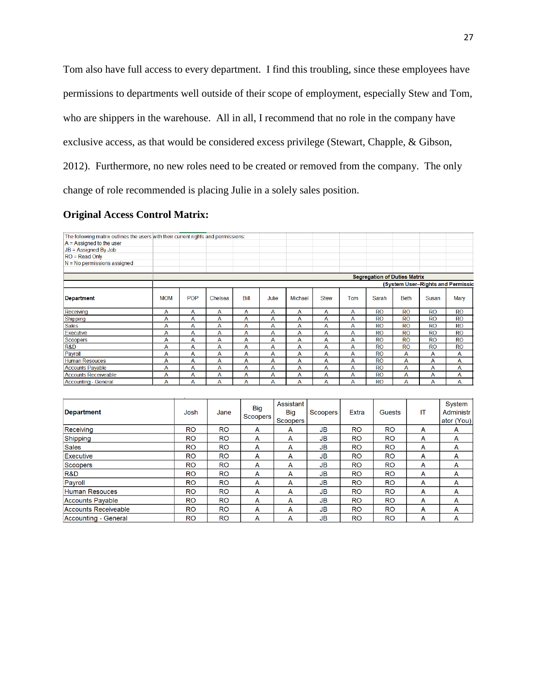Tom also have full access to every department. I find this troubling, since these employees have permissions to departments well outside of their scope of employment, especially Stew and Tom, who are shippers in the warehouse. All in all, I recommend that no role in the company have exclusive access, as that would be considered excess privilege (Stewart, Chapple, & Gibson, 2012). Furthermore, no new roles need to be created or removed from the company. The only change of role recommended is placing Julie in a solely sales position.

## **Original Access Control Matrix:**

| The following matrix outlines the users with their current rights and permissions: |            |      |                |                               |       |                                     |                 |              |                                     |             |           |                                   |
|------------------------------------------------------------------------------------|------------|------|----------------|-------------------------------|-------|-------------------------------------|-----------------|--------------|-------------------------------------|-------------|-----------|-----------------------------------|
| $A =$ Assigned to the user                                                         |            |      |                |                               |       |                                     |                 |              |                                     |             |           |                                   |
| $JB = Assigned By Job$                                                             |            |      |                |                               |       |                                     |                 |              |                                     |             |           |                                   |
| $RO = Read Only$                                                                   |            |      |                |                               |       |                                     |                 |              |                                     |             |           |                                   |
| $N = No$ permissions assigned                                                      |            |      |                |                               |       |                                     |                 |              |                                     |             |           |                                   |
|                                                                                    |            |      |                |                               |       |                                     |                 |              |                                     |             |           |                                   |
|                                                                                    |            |      |                |                               |       |                                     |                 |              | <b>Segregation of Duties Matrix</b> |             |           |                                   |
|                                                                                    |            |      |                |                               |       |                                     |                 |              |                                     |             |           | (System User-Rights and Permissio |
| <b>Department</b>                                                                  | <b>MOM</b> | POP  | Chelsea        | Bill                          | Julie | Michael                             | <b>Stew</b>     | Tom          | Sarah                               | <b>Beth</b> | Susan     | Mary                              |
| Receiving                                                                          | A          | Α    | A              | A                             | A     | A                                   | A               | A            | <b>RO</b>                           | <b>RO</b>   | <b>RO</b> | <b>RO</b>                         |
| Shipping                                                                           | A          | A    | $\overline{A}$ | A                             | A     | A                                   | A               | A            | <b>RO</b>                           | <b>RO</b>   | <b>RO</b> | <b>RO</b>                         |
| <b>Sales</b>                                                                       | A          | A    | A              | A                             | A     | A                                   | A               | A            | <b>RO</b>                           | <b>RO</b>   | <b>RO</b> | <b>RO</b>                         |
| <b>Executive</b>                                                                   | A          | A    | A              | A                             | Α     | A                                   | A               | A            | <b>RO</b>                           | <b>RO</b>   | <b>RO</b> | <b>RO</b>                         |
| <b>Scoopers</b>                                                                    | A          | Α    | A              | A                             | A     | A                                   | Α               | A            | <b>RO</b>                           | <b>RO</b>   | <b>RO</b> | <b>RO</b>                         |
| R&D                                                                                | A          | A    | A              | A                             | A     | A                                   | Α               | A            | <b>RO</b>                           | <b>RO</b>   | <b>RO</b> | <b>RO</b>                         |
| Payroll                                                                            | A          | Α    | Α              | A                             | Α     | Α                                   | Α               | Α            | <b>RO</b>                           | Α           | A         | Α                                 |
| <b>Human Resouces</b>                                                              | A          | A    | A              | A                             | A     | A                                   | A               | A            | <b>RO</b>                           | A           | A         | A                                 |
| <b>Accounts Payable</b>                                                            | A          | A    | A              | A                             | A     | A                                   | Α               | A            | <b>RO</b>                           | A           | A         | A                                 |
| <b>Accounts Receiveable</b>                                                        | A          | A    | A              | A                             | A     | A                                   | A               | A            | <b>RO</b>                           | A           | Α         | A                                 |
| <b>Accounting - General</b>                                                        | A          | A    | A              | A                             | A     | A                                   | A               | A            | <b>RO</b>                           | A           | A         | A                                 |
|                                                                                    |            |      |                |                               |       |                                     |                 |              |                                     |             |           |                                   |
| <b>Department</b>                                                                  |            | Josh | Jane           | <b>Big</b><br><b>Scoopers</b> |       | Assistant<br><b>Big</b><br>Scoopers | <b>Scoopers</b> | <b>Extra</b> | <b>Guests</b>                       |             | IT        | System<br>Administr<br>ator (You) |
| Receiving                                                                          |            | RO.  | RO             | Δ                             |       | Δ                                   | IR              | RO           | RO                                  |             | Δ         | Δ                                 |

| <b>Department</b>           | Josh      | Jane      | <b>Big</b><br>Scoopers | Assistant<br><b>Big</b><br>Scoopers <sup>1</sup> | Scoopers  | <b>Extra</b> | <b>Guests</b> | IT | System<br><b>Administr</b><br>ator (You) |
|-----------------------------|-----------|-----------|------------------------|--------------------------------------------------|-----------|--------------|---------------|----|------------------------------------------|
| Receiving                   | <b>RO</b> | <b>RO</b> | A                      | A                                                | <b>JB</b> | <b>RO</b>    | <b>RO</b>     | A  | A                                        |
| Shipping                    | <b>RO</b> | <b>RO</b> | A                      | A                                                | <b>JB</b> | <b>RO</b>    | <b>RO</b>     | A  | A                                        |
| <b>Sales</b>                | <b>RO</b> | <b>RO</b> | A                      | A                                                | <b>JB</b> | <b>RO</b>    | <b>RO</b>     | A  | A                                        |
| Executive                   | <b>RO</b> | <b>RO</b> | A                      | A                                                | JB        | <b>RO</b>    | <b>RO</b>     | A  | A                                        |
| <b>Scoopers</b>             | <b>RO</b> | <b>RO</b> | A                      | A                                                | <b>JB</b> | <b>RO</b>    | <b>RO</b>     | A  | A                                        |
| R&D                         | <b>RO</b> | <b>RO</b> | A                      | A                                                | <b>JB</b> | <b>RO</b>    | <b>RO</b>     | A  | A                                        |
| Payroll                     | <b>RO</b> | <b>RO</b> | A                      | A                                                | JB.       | <b>RO</b>    | <b>RO</b>     | A  | A                                        |
| <b>Human Resouces</b>       | <b>RO</b> | <b>RO</b> | A                      | A                                                | JB.       | <b>RO</b>    | <b>RO</b>     | A  | A                                        |
| <b>Accounts Payable</b>     | <b>RO</b> | <b>RO</b> | A                      | A                                                | JB.       | <b>RO</b>    | <b>RO</b>     | A  | A                                        |
| <b>Accounts Receiveable</b> | <b>RO</b> | <b>RO</b> | A                      | A                                                | JB.       | <b>RO</b>    | <b>RO</b>     | A  | A                                        |
| <b>Accounting - General</b> | <b>RO</b> | <b>RO</b> | A                      | A                                                | JB        | <b>RO</b>    | <b>RO</b>     | A  | A                                        |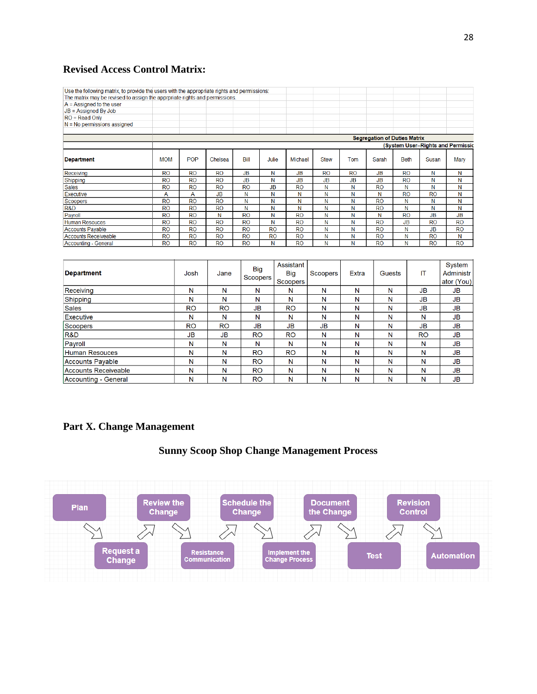# **Revised Access Control Matrix:**

| Use the following matrix, to provide the users with the appropriate rights and permissions: |                                                                          |            |           |                        |           |  |                         |             |              |               |             |           |                     |
|---------------------------------------------------------------------------------------------|--------------------------------------------------------------------------|------------|-----------|------------------------|-----------|--|-------------------------|-------------|--------------|---------------|-------------|-----------|---------------------|
| The matrix may be revised to assign the apprpriate rights and permissions.                  |                                                                          |            |           |                        |           |  |                         |             |              |               |             |           |                     |
| $A =$ Assigned to the user                                                                  |                                                                          |            |           |                        |           |  |                         |             |              |               |             |           |                     |
| $JB = Assigned By Job$                                                                      |                                                                          |            |           |                        |           |  |                         |             |              |               |             |           |                     |
| $RO = Read Only$                                                                            |                                                                          |            |           |                        |           |  |                         |             |              |               |             |           |                     |
| $N = No$ permissions assigned                                                               |                                                                          |            |           |                        |           |  |                         |             |              |               |             |           |                     |
|                                                                                             |                                                                          |            |           |                        |           |  |                         |             |              |               |             |           |                     |
|                                                                                             | <b>Segregation of Duties Matrix</b><br>(System User-Rights and Permissic |            |           |                        |           |  |                         |             |              |               |             |           |                     |
|                                                                                             |                                                                          |            |           |                        |           |  |                         |             |              |               |             |           |                     |
| <b>Department</b>                                                                           | <b>MOM</b>                                                               | <b>POP</b> | Chelsea   | Bill                   | Julie     |  | Michael                 | <b>Stew</b> | Tom          | Sarah         | <b>Beth</b> | Susan     | Mary                |
| Receiving                                                                                   | <b>RO</b>                                                                | <b>RO</b>  | <b>RO</b> | <b>JB</b>              | N         |  | <b>JB</b>               | <b>RO</b>   | <b>RO</b>    | <b>JB</b>     | <b>RO</b>   | Ν         | Ν                   |
| Shipping                                                                                    | <b>RO</b>                                                                | <b>RO</b>  | <b>RO</b> | <b>JB</b>              | N         |  | <b>JB</b>               | <b>JB</b>   | <b>JB</b>    | <b>JB</b>     | <b>RO</b>   | N         | N                   |
| <b>Sales</b>                                                                                | <b>RO</b>                                                                | <b>RO</b>  | <b>RO</b> | <b>RO</b>              | <b>JB</b> |  | <b>RO</b>               | N           | N            | <b>RO</b>     | N           | Ν         | Ν                   |
| <b>Executive</b>                                                                            | A                                                                        | A          | <b>JB</b> | N                      | Ν         |  | Ν                       | Ν           | N            | N             | <b>RO</b>   | <b>RO</b> | Ν                   |
| Scoopers                                                                                    | <b>RO</b>                                                                | <b>RO</b>  | <b>RO</b> | Ν                      | Ν         |  | Ν                       | N           | N            | <b>RO</b>     | Ν           | Ν         | Ν                   |
| <b>R&amp;D</b>                                                                              | <b>RO</b>                                                                | <b>RO</b>  | <b>RO</b> | N                      | N         |  | N                       | N           | N            | <b>RO</b>     | N           | N         | N                   |
| Pavroll                                                                                     | <b>RO</b>                                                                | <b>RO</b>  | N         | <b>RO</b>              | N         |  | <b>RO</b>               | N           | N            | N             | <b>RO</b>   | <b>JB</b> | <b>JB</b>           |
| <b>Human Resouces</b>                                                                       | <b>RO</b>                                                                | <b>RO</b>  | <b>RO</b> | <b>RO</b>              | Ν         |  | <b>RO</b>               | N           | N            | <b>RO</b>     | <b>JB</b>   | <b>RO</b> | <b>RO</b>           |
| <b>Accounts Pavable</b>                                                                     | <b>RO</b>                                                                | <b>RO</b>  | <b>RO</b> | <b>RO</b>              | <b>RO</b> |  | <b>RO</b>               | N           | N            | <b>RO</b>     | N           | <b>JB</b> | <b>RO</b>           |
| <b>Accounts Receiveable</b>                                                                 | <b>RO</b>                                                                | <b>RO</b>  | <b>RO</b> | <b>RO</b>              | <b>RO</b> |  | <b>RO</b>               | N           | N            | <b>RO</b>     | N           | <b>RO</b> | Ν                   |
| <b>Accounting - General</b>                                                                 | <b>RO</b>                                                                | <b>RO</b>  | <b>RO</b> | <b>RO</b>              | N         |  | <b>RO</b>               | N           | N            | <b>RO</b>     | Ν           | <b>RO</b> | <b>RO</b>           |
|                                                                                             |                                                                          |            |           |                        |           |  |                         |             |              |               |             |           |                     |
| <b>Department</b>                                                                           |                                                                          | Josh       | Jane      | <b>Big</b><br>Scoopers |           |  | Assistant<br><b>Big</b> | Scoopers    | <b>Extra</b> | <b>Guests</b> |             | IT        | System<br>Administr |
|                                                                                             |                                                                          |            |           |                        |           |  | Scoopers                |             |              |               |             |           | ator (You)          |
| Receiving                                                                                   |                                                                          | N          | N         | N                      |           |  | N                       | N           | N            | N             |             | JВ        | <b>JB</b>           |
| Shipping                                                                                    |                                                                          | N          | N         | N                      |           |  | N                       | N           | N            | N             |             | <b>JB</b> | <b>JB</b>           |
| <b>Sales</b>                                                                                |                                                                          | <b>RO</b>  | <b>RO</b> | <b>JB</b>              |           |  | <b>RO</b>               | N           | N            | N             |             | <b>JB</b> | <b>JB</b>           |

|                      |           |           | --------  | Scoopers  |           |   |   |           | ator (You) |
|----------------------|-----------|-----------|-----------|-----------|-----------|---|---|-----------|------------|
| Receiving            | N         | N         | N         | N         | N         | N | N | JB        | JВ         |
| Shipping             | N         | N         | N         | N         | N         | N | N | JB        | <b>JB</b>  |
| <b>Sales</b>         | <b>RO</b> | <b>RO</b> | <b>JB</b> | <b>RO</b> | N         | N | N | JB        | JB         |
| Executive            | N         | N         | N         | N         | N         | N | N | N         | JB         |
| Scoopers             | <b>RO</b> | <b>RO</b> | <b>JB</b> | <b>JB</b> | <b>JB</b> | N | N | JB        | JB         |
| R&D                  | <b>JB</b> | <b>JB</b> | <b>RO</b> | <b>RO</b> | N         | N | N | <b>RO</b> | <b>JB</b>  |
| Payroll              | N         | N         | N         | N         | N         | N | N | N         | JВ         |
| Human Resouces       | N         | N         | <b>RO</b> | <b>RO</b> | N         | N | N | N         | <b>JB</b>  |
| Accounts Payable     | N         | N         | <b>RO</b> | N         | N         | N | N | N         | <b>JB</b>  |
| Accounts Receiveable | N         | N         | <b>RO</b> | N         | N         | N | N | N         | <b>JB</b>  |
| Accounting - General | N         | N         | <b>RO</b> | N         | N         | N | N | Ν         | <b>JB</b>  |

# <span id="page-27-0"></span>**Part X. Change Management**

# **Sunny Scoop Shop Change Management Process**

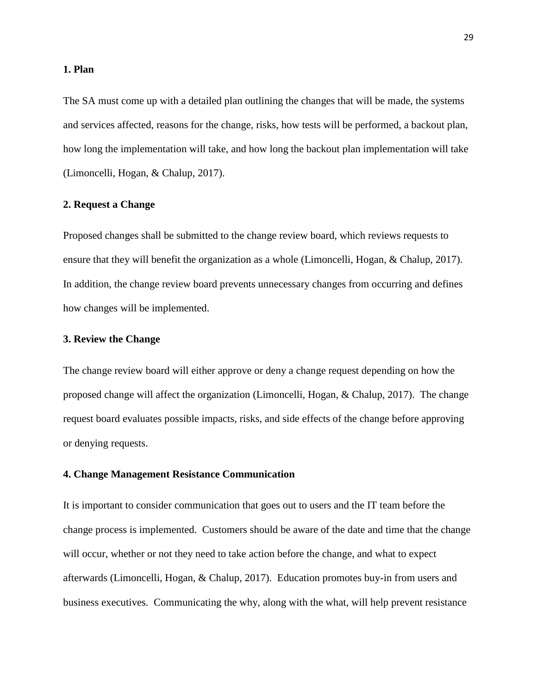#### **1. Plan**

The SA must come up with a detailed plan outlining the changes that will be made, the systems and services affected, reasons for the change, risks, how tests will be performed, a backout plan, how long the implementation will take, and how long the backout plan implementation will take (Limoncelli, Hogan, & Chalup, 2017).

## **2. Request a Change**

Proposed changes shall be submitted to the change review board, which reviews requests to ensure that they will benefit the organization as a whole (Limoncelli, Hogan, & Chalup, 2017). In addition, the change review board prevents unnecessary changes from occurring and defines how changes will be implemented.

### **3. Review the Change**

The change review board will either approve or deny a change request depending on how the proposed change will affect the organization (Limoncelli, Hogan, & Chalup, 2017). The change request board evaluates possible impacts, risks, and side effects of the change before approving or denying requests.

#### **4. Change Management Resistance Communication**

It is important to consider communication that goes out to users and the IT team before the change process is implemented. Customers should be aware of the date and time that the change will occur, whether or not they need to take action before the change, and what to expect afterwards (Limoncelli, Hogan, & Chalup, 2017). Education promotes buy-in from users and business executives. Communicating the why, along with the what, will help prevent resistance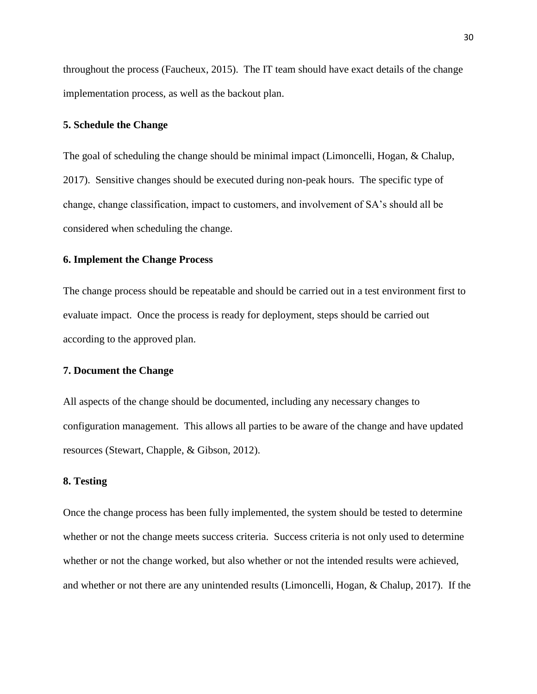throughout the process (Faucheux, 2015). The IT team should have exact details of the change implementation process, as well as the backout plan.

### **5. Schedule the Change**

The goal of scheduling the change should be minimal impact (Limoncelli, Hogan, & Chalup, 2017). Sensitive changes should be executed during non-peak hours. The specific type of change, change classification, impact to customers, and involvement of SA's should all be considered when scheduling the change.

## **6. Implement the Change Process**

The change process should be repeatable and should be carried out in a test environment first to evaluate impact. Once the process is ready for deployment, steps should be carried out according to the approved plan.

### **7. Document the Change**

All aspects of the change should be documented, including any necessary changes to configuration management. This allows all parties to be aware of the change and have updated resources (Stewart, Chapple, & Gibson, 2012).

## **8. Testing**

Once the change process has been fully implemented, the system should be tested to determine whether or not the change meets success criteria. Success criteria is not only used to determine whether or not the change worked, but also whether or not the intended results were achieved, and whether or not there are any unintended results (Limoncelli, Hogan, & Chalup, 2017). If the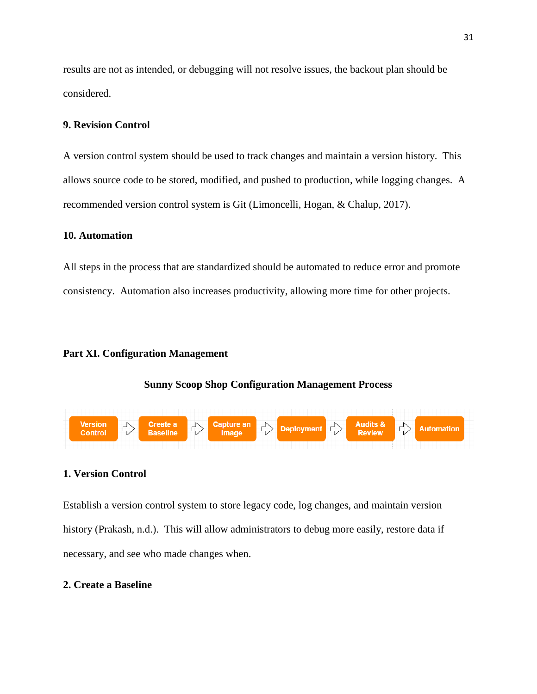results are not as intended, or debugging will not resolve issues, the backout plan should be considered.

### **9. Revision Control**

A version control system should be used to track changes and maintain a version history. This allows source code to be stored, modified, and pushed to production, while logging changes. A recommended version control system is Git (Limoncelli, Hogan, & Chalup, 2017).

### **10. Automation**

All steps in the process that are standardized should be automated to reduce error and promote consistency. Automation also increases productivity, allowing more time for other projects.

## <span id="page-30-0"></span>**Part XI. Configuration Management**

#### **Sunny Scoop Shop Configuration Management Process**



## **1. Version Control**

Establish a version control system to store legacy code, log changes, and maintain version history (Prakash, n.d.). This will allow administrators to debug more easily, restore data if necessary, and see who made changes when.

## **2. Create a Baseline**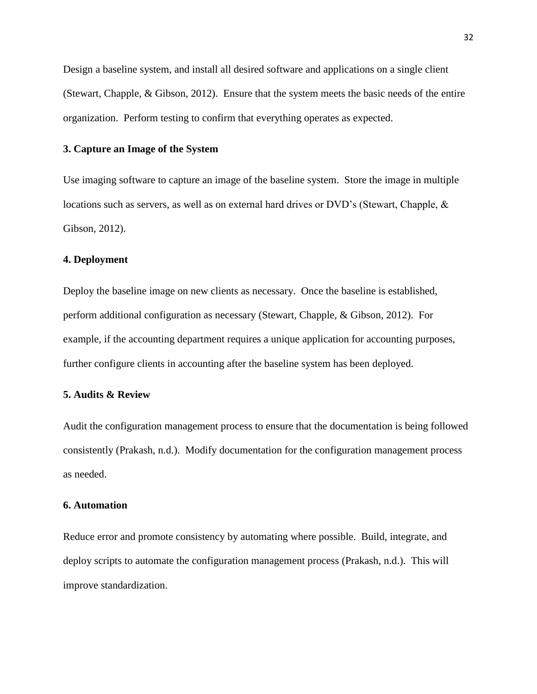Design a baseline system, and install all desired software and applications on a single client (Stewart, Chapple, & Gibson, 2012). Ensure that the system meets the basic needs of the entire organization. Perform testing to confirm that everything operates as expected.

## **3. Capture an Image of the System**

Use imaging software to capture an image of the baseline system. Store the image in multiple locations such as servers, as well as on external hard drives or DVD's (Stewart, Chapple, & Gibson, 2012).

## **4. Deployment**

Deploy the baseline image on new clients as necessary. Once the baseline is established, perform additional configuration as necessary (Stewart, Chapple, & Gibson, 2012). For example, if the accounting department requires a unique application for accounting purposes, further configure clients in accounting after the baseline system has been deployed.

## **5. Audits & Review**

Audit the configuration management process to ensure that the documentation is being followed consistently (Prakash, n.d.). Modify documentation for the configuration management process as needed.

#### **6. Automation**

Reduce error and promote consistency by automating where possible. Build, integrate, and deploy scripts to automate the configuration management process (Prakash, n.d.). This will improve standardization.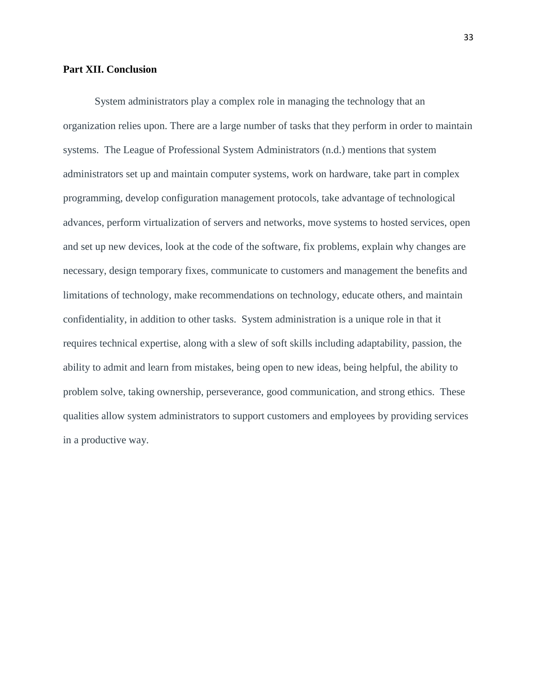#### <span id="page-32-0"></span>**Part XII. Conclusion**

<span id="page-32-1"></span>System administrators play a complex role in managing the technology that an organization relies upon. There are a large number of tasks that they perform in order to maintain systems. The League of Professional System Administrators (n.d.) mentions that system administrators set up and maintain computer systems, work on hardware, take part in complex programming, develop configuration management protocols, take advantage of technological advances, perform virtualization of servers and networks, move systems to hosted services, open and set up new devices, look at the code of the software, fix problems, explain why changes are necessary, design temporary fixes, communicate to customers and management the benefits and limitations of technology, make recommendations on technology, educate others, and maintain confidentiality, in addition to other tasks. System administration is a unique role in that it requires technical expertise, along with a slew of soft skills including adaptability, passion, the ability to admit and learn from mistakes, being open to new ideas, being helpful, the ability to problem solve, taking ownership, perseverance, good communication, and strong ethics. These qualities allow system administrators to support customers and employees by providing services in a productive way.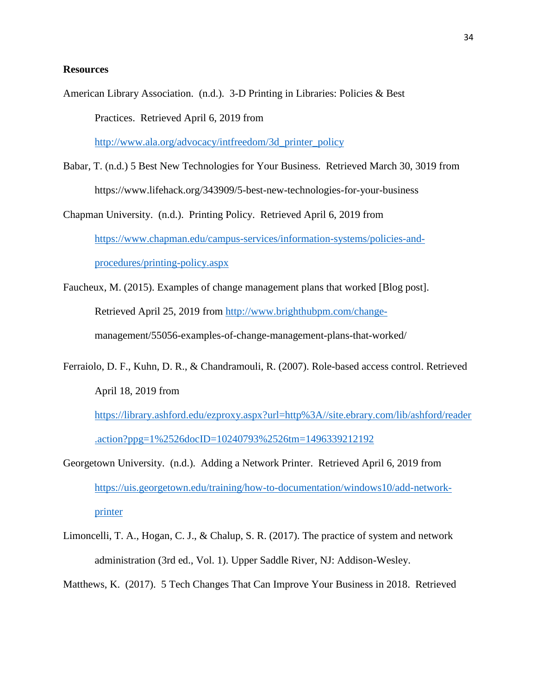## **Resources**

American Library Association. (n.d.). 3-D Printing in Libraries: Policies & Best Practices. Retrieved April 6, 2019 from

[http://www.ala.org/advocacy/intfreedom/3d\\_printer\\_policy](http://www.ala.org/advocacy/intfreedom/3d_printer_policy)

Babar, T. (n.d.) 5 Best New Technologies for Your Business. Retrieved March 30, 3019 from https://www.lifehack.org/343909/5-best-new-technologies-for-your-business

Chapman University. (n.d.). Printing Policy. Retrieved April 6, 2019 from [https://www.chapman.edu/campus-services/information-systems/policies-and](https://www.chapman.edu/campus-services/information-systems/policies-and-procedures/printing-policy.aspx)[procedures/printing-policy.aspx](https://www.chapman.edu/campus-services/information-systems/policies-and-procedures/printing-policy.aspx)

- Faucheux, M. (2015). Examples of change management plans that worked [Blog post]. Retrieved April 25, 2019 from [http://www.brighthubpm.com/change](http://www.brighthubpm.com/change-)management/55056-examples-of-change-management-plans-that-worked/
- Ferraiolo, D. F., Kuhn, D. R., & Chandramouli, R. (2007). Role-based access control. Retrieved April 18, 2019 from

[https://library.ashford.edu/ezproxy.aspx?url=http%3A//site.ebrary.com/lib/ashford/reader](https://library.ashford.edu/ezproxy.aspx?url=http%3A//site.ebrary.com/lib/ashford/reader.action?ppg=1%2526docID=10240793%2526tm=1496339212192) [.action?ppg=1%2526docID=10240793%2526tm=1496339212192](https://library.ashford.edu/ezproxy.aspx?url=http%3A//site.ebrary.com/lib/ashford/reader.action?ppg=1%2526docID=10240793%2526tm=1496339212192)

- Georgetown University. (n.d.). Adding a Network Printer. Retrieved April 6, 2019 from [https://uis.georgetown.edu/training/how-to-documentation/windows10/add-network](https://uis.georgetown.edu/training/how-to-documentation/windows10/add-network-printer)[printer](https://uis.georgetown.edu/training/how-to-documentation/windows10/add-network-printer)
- Limoncelli, T. A., Hogan, C. J., & Chalup, S. R. (2017). The practice of system and network administration (3rd ed., Vol. 1). Upper Saddle River, NJ: Addison-Wesley.

Matthews, K. (2017). 5 Tech Changes That Can Improve Your Business in 2018. Retrieved